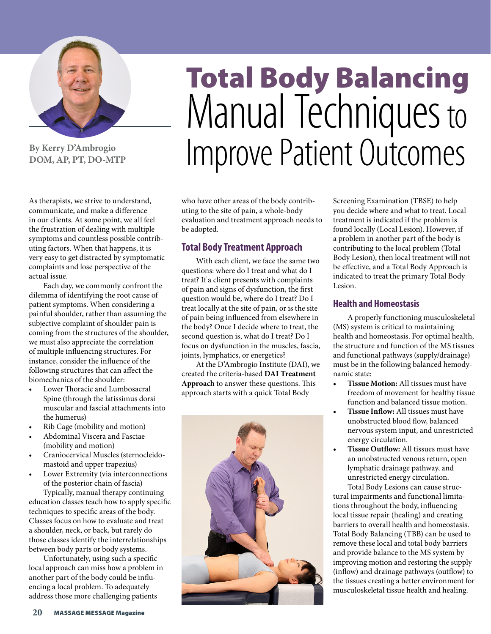

**By Kerry D'Ambrogio DOM, AP, PT, DO-MTP**

#### As therapists, we strive to understand, communicate, and make a difference in our clients. At some point, we all feel the frustration of dealing with multiple symptoms and countless possible contributing factors. When that happens, it is very easy to get distracted by symptomatic complaints and lose perspective of the actual issue.

Each day, we commonly confront the dilemma of identifying the root cause of patient symptoms. When considering a painful shoulder, rather than assuming the subjective complaint of shoulder pain is coming from the structures of the shoulder, we must also appreciate the correlation of multiple influencing structures. For instance, consider the influence of the following structures that can affect the biomechanics of the shoulder:

- Lower Thoracic and Lumbosacral Spine (through the latissimus dorsi muscular and fascial attachments into the humerus)
- Rib Cage (mobility and motion)
- Abdominal Viscera and Fasciae (mobility and motion)
- Craniocervical Muscles (sternocleidomastoid and upper trapezius)
- Lower Extremity (via interconnections of the posterior chain of fascia)

Typically, manual therapy continuing education classes teach how to apply specific techniques to specific areas of the body. Classes focus on how to evaluate and treat a shoulder, neck, or back, but rarely do those classes identify the interrelationships between body parts or body systems.

Unfortunately, using such a specific local approach can miss how a problem in another part of the body could be influencing a local problem. To adequately address those more challenging patients

# Total Body Balancing Manual Techniques to Improve Patient Outcomes

who have other areas of the body contributing to the site of pain, a whole-body evaluation and treatment approach needs to be adopted.

## **Total Body Treatment Approach**

With each client, we face the same two questions: where do I treat and what do I treat? If a client presents with complaints of pain and signs of dysfunction, the first question would be, where do I treat? Do I treat locally at the site of pain, or is the site of pain being influenced from elsewhere in the body? Once I decide where to treat, the second question is, what do I treat? Do I focus on dysfunction in the muscles, fascia, joints, lymphatics, or energetics?

At the D'Ambrogio Institute (DAI), we created the criteria-based **DAI Treatment Approach** to answer these questions. This approach starts with a quick Total Body



Screening Examination (TBSE) to help you decide where and what to treat. Local treatment is indicated if the problem is found locally (Local Lesion). However, if a problem in another part of the body is contributing to the local problem (Total Body Lesion), then local treatment will not be effective, and a Total Body Approach is indicated to treat the primary Total Body Lesion.

### **Health and Homeostasis**

A properly functioning musculoskeletal (MS) system is critical to maintaining health and homeostasis. For optimal health, the structure and function of the MS tissues and functional pathways (supply/drainage) must be in the following balanced hemodynamic state:

- **• Tissue Motion:** All tissues must have freedom of movement for healthy tissue function and balanced tissue motion.
- **• Tissue Inflow:** All tissues must have unobstructed blood flow, balanced nervous system input, and unrestricted energy circulation.
- **• Tissue Outflow:** All tissues must have an unobstructed venous return, open lymphatic drainage pathway, and unrestricted energy circulation. Total Body Lesions can cause struc-

tural impairments and functional limitations throughout the body, influencing local tissue repair (healing) and creating barriers to overall health and homeostasis. Total Body Balancing (TBB) can be used to remove these local and total body barriers and provide balance to the MS system by improving motion and restoring the supply (inflow) and drainage pathways (outflow) to the tissues creating a better environment for musculoskeletal tissue health and healing.